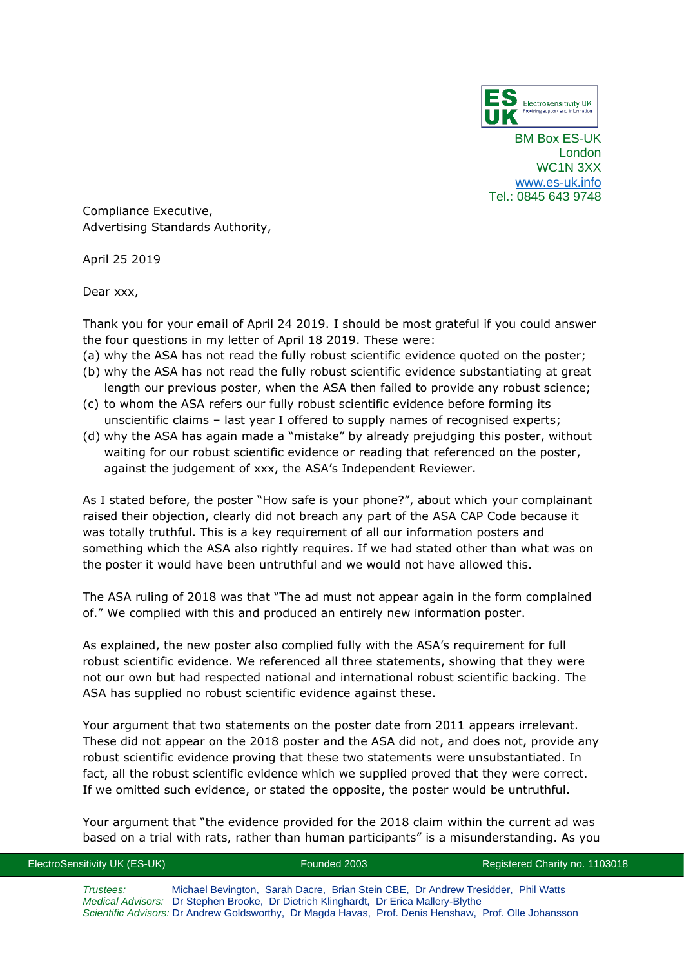

BM Box ES-UK London WC1N 3XX [www.es-uk.info](http://www.es-uk.info/) Tel.: 0845 643 9748

Compliance Executive, Advertising Standards Authority,

April 25 2019

Dear xxx,

Thank you for your email of April 24 2019. I should be most grateful if you could answer the four questions in my letter of April 18 2019. These were:

- (a) why the ASA has not read the fully robust scientific evidence quoted on the poster;
- (b) why the ASA has not read the fully robust scientific evidence substantiating at great length our previous poster, when the ASA then failed to provide any robust science;
- (c) to whom the ASA refers our fully robust scientific evidence before forming its unscientific claims – last year I offered to supply names of recognised experts;
- (d) why the ASA has again made a "mistake" by already prejudging this poster, without waiting for our robust scientific evidence or reading that referenced on the poster, against the judgement of xxx, the ASA's Independent Reviewer.

As I stated before, the poster "How safe is your phone?", about which your complainant raised their objection, clearly did not breach any part of the ASA CAP Code because it was totally truthful. This is a key requirement of all our information posters and something which the ASA also rightly requires. If we had stated other than what was on the poster it would have been untruthful and we would not have allowed this.

The ASA ruling of 2018 was that "The ad must not appear again in the form complained of." We complied with this and produced an entirely new information poster.

As explained, the new poster also complied fully with the ASA's requirement for full robust scientific evidence. We referenced all three statements, showing that they were not our own but had respected national and international robust scientific backing. The ASA has supplied no robust scientific evidence against these.

Your argument that two statements on the poster date from 2011 appears irrelevant. These did not appear on the 2018 poster and the ASA did not, and does not, provide any robust scientific evidence proving that these two statements were unsubstantiated. In fact, all the robust scientific evidence which we supplied proved that they were correct. If we omitted such evidence, or stated the opposite, the poster would be untruthful.

Your argument that "the evidence provided for the 2018 claim within the current ad was based on a trial with rats, rather than human participants" is a misunderstanding. As you

ElectroSensitivity UK (ES-UK) Founded 2003 Registered Charity no. 1103018